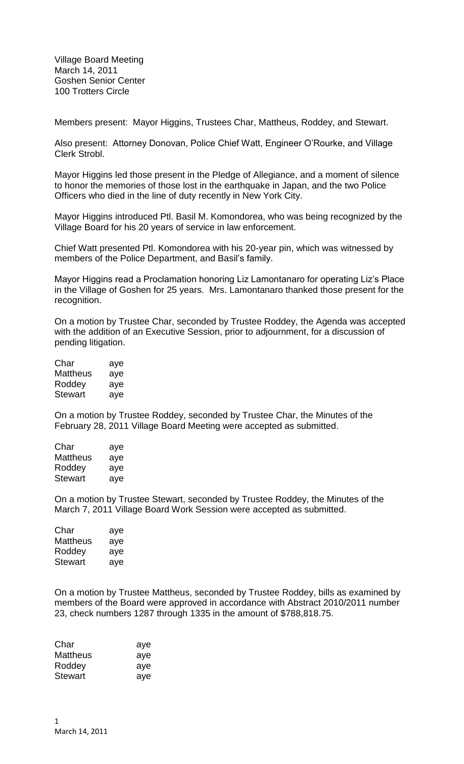Village Board Meeting March 14, 2011 Goshen Senior Center 100 Trotters Circle

Members present: Mayor Higgins, Trustees Char, Mattheus, Roddey, and Stewart.

Also present: Attorney Donovan, Police Chief Watt, Engineer O'Rourke, and Village Clerk Strobl.

Mayor Higgins led those present in the Pledge of Allegiance, and a moment of silence to honor the memories of those lost in the earthquake in Japan, and the two Police Officers who died in the line of duty recently in New York City.

Mayor Higgins introduced Ptl. Basil M. Komondorea, who was being recognized by the Village Board for his 20 years of service in law enforcement.

Chief Watt presented Ptl. Komondorea with his 20-year pin, which was witnessed by members of the Police Department, and Basil's family.

Mayor Higgins read a Proclamation honoring Liz Lamontanaro for operating Liz's Place in the Village of Goshen for 25 years. Mrs. Lamontanaro thanked those present for the recognition.

On a motion by Trustee Char, seconded by Trustee Roddey, the Agenda was accepted with the addition of an Executive Session, prior to adjournment, for a discussion of pending litigation.

| Char            | aye |
|-----------------|-----|
| <b>Mattheus</b> | aye |
| Roddey          | aye |
| <b>Stewart</b>  | aye |

On a motion by Trustee Roddey, seconded by Trustee Char, the Minutes of the February 28, 2011 Village Board Meeting were accepted as submitted.

| Char     | aye |
|----------|-----|
| Mattheus | aye |
| Roddey   | aye |
| Stewart  | aye |

On a motion by Trustee Stewart, seconded by Trustee Roddey, the Minutes of the March 7, 2011 Village Board Work Session were accepted as submitted.

| Char     | aye |
|----------|-----|
| Mattheus | aye |
| Roddey   | aye |
| Stewart  | aye |

On a motion by Trustee Mattheus, seconded by Trustee Roddey, bills as examined by members of the Board were approved in accordance with Abstract 2010/2011 number 23, check numbers 1287 through 1335 in the amount of \$788,818.75.

| Char     | aye |
|----------|-----|
| Mattheus | aye |
| Roddey   | aye |
| Stewart  | ave |